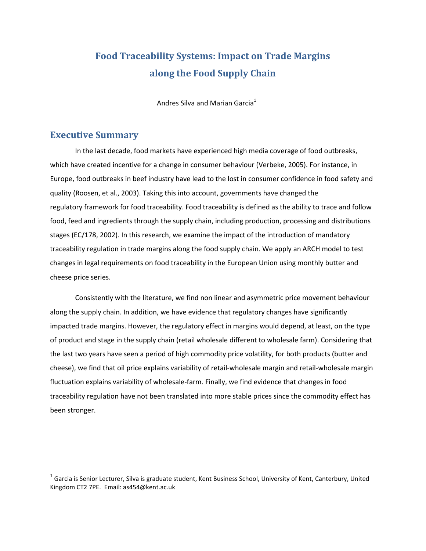## Food Traceability Systems: Impact on Trade Margins along the Food Supply Chain

Andres Silva and Marian Garcia<sup>1</sup>

## Executive Summary

 $\overline{a}$ 

In the last decade, food markets have experienced high media coverage of food outbreaks, which have created incentive for a change in consumer behaviour (Verbeke, 2005). For instance, in Europe, food outbreaks in beef industry have lead to the lost in consumer confidence in food safety and quality (Roosen, et al., 2003). Taking this into account, governments have changed the regulatory framework for food traceability. Food traceability is defined as the ability to trace and follow food, feed and ingredients through the supply chain, including production, processing and distributions stages (EC/178, 2002). In this research, we examine the impact of the introduction of mandatory traceability regulation in trade margins along the food supply chain. We apply an ARCH model to test changes in legal requirements on food traceability in the European Union using monthly butter and cheese price series.

Consistently with the literature, we find non linear and asymmetric price movement behaviour along the supply chain. In addition, we have evidence that regulatory changes have significantly impacted trade margins. However, the regulatory effect in margins would depend, at least, on the type of product and stage in the supply chain (retail wholesale different to wholesale farm). Considering that the last two years have seen a period of high commodity price volatility, for both products (butter and cheese), we find that oil price explains variability of retail-wholesale margin and retail-wholesale margin fluctuation explains variability of wholesale-farm. Finally, we find evidence that changes in food traceability regulation have not been translated into more stable prices since the commodity effect has been stronger.

 $^1$  Garcia is Senior Lecturer, Silva is graduate student, Kent Business School, University of Kent, Canterbury, United Kingdom CT2 7PE. Email: as454@kent.ac.uk